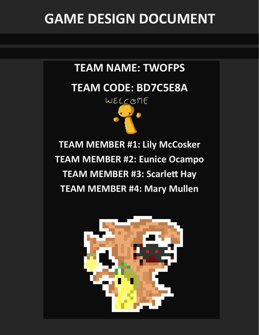# **GAME DESIGN DOCUMENT**

# **TEAM NAME: TWOFPS**

# **TEAM CODE: BD7C5E8A**



**TEAM MEMBER #1: Lily McCosker TEAM MEMBER #2: Eunice Ocampo TEAM MEMBER #3: Scarlett Hay TEAM MEMBER #4: Mary Mullen**

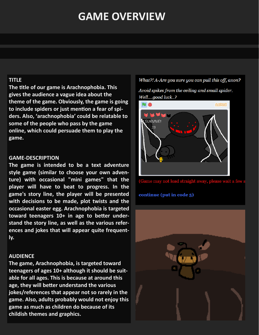# **GAME OVERVIEW**

### **TITLE**

**The title of our game is Arachnophobia. This gives the audience a vague idea about the theme of the game. Obviously, the game is going to include spiders or just mention a fear of spiders. Also, 'arachnophobia' could be relatable to some of the people who pass by the game online, which could persuade them to play the game.**

#### **GAME-DESCRIPTION**

**The game is intended to be a text adventure style game (similar to choose your own adventure) with occasional "mini games" that the player will have to beat to progress. In the game's story line, the player will be presented with decisions to be made, plot twists and the occasional easter egg. Arachnophobia is targeted toward teenagers 10+ in age to better understand the story line, as well as the various references and jokes that will appear quite frequently.** 

### **AUDIENCE**

**The game, Arachnophobia, is targeted toward teenagers of ages 10+ although it should be suitable for all ages. This is because at around this age, they will better understand the various jokes/references that appear not so rarely in the game. Also, adults probably would not enjoy this game as much as children do because of its childish themes and graphics.**

What?! A-Are you sure you can pull this off, anon?

Avoid spikes from the ceiling and small spider. Well....good luck..?



(Game may not load straight away, please wait a few

continue (put in code 5)

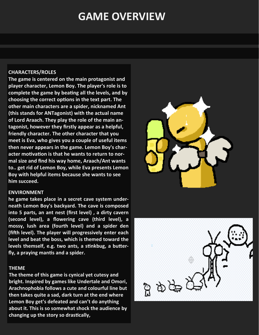# **GAME OVERVIEW**

#### **CHARACTERS/ROLES**

**The game is centered on the main protagonist and player character, Lemon Boy. The player's role is to complete the game by beating all the levels, and by choosing the correct options in the text part. The other main characters are a spider, nicknamed Ant (this stands for ANTagonist) with the actual name of Lord Araach. They play the role of the main antagonist, however they firstly appear as a helpful, friendly character. The other character that you meet is Eva, who gives you a couple of useful items then never appears in the game. Lemon Boy's character motivation is that he wants to return to normal size and find his way home, Araach/Ant wants to.. get rid of Lemon Boy, while Eva presents Lemon Boy with helpful items because she wants to see him succeed.** 

#### **ENVIRONMENT**

**he game takes place in a secret cave system underneath Lemon Boy's backyard. The cave is composed into 5 parts, an ant nest (first level) , a dirty cavern (second level), a flowering cave (third level), a mossy, lush area (fourth level) and a spider den (fifth level). The player will progressively enter each level and beat the boss, which is themed toward the levels themself, e.g. two ants, a stinkbug, a butterfly, a praying mantis and a spider.** 

#### **THEME**

**The theme of this game is cynical yet cutesy and bright. Inspired by games like Undertale and Omori, Arachnophobia follows a cute and colourful line but then takes quite a sad, dark turn at the end where Lemon Boy get's defeated and can't do anything about it. This is so somewhat shock the audience by changing up the story so drastically,**



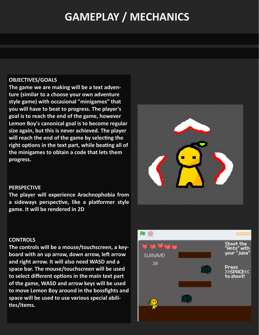# **GAMEPLAY / MECHANICS**

## **OBJECTIVES/GOALS**

**The game we are making will be a text adventure (similar to a choose your own adventure style game) with occasional "minigames" that you will have to beat to progress. The player's goal is to reach the end of the game, however Lemon Boy's canonical goal is to become regular size again, but this is never achieved. The player will reach the end of the game by selecting the right options in the text part, while beating all of the minigames to obtain a code that lets them progress.** 



### **PERSPECTIVE**

**The player will experience Arachnophobia from a sideways perspective, like a platformer style game. It will be rendered in 2D** 

### **CONTROLS**

**The controls will be a mouse/touchscreen, a keyboard with an up arrow, down arrow, left arrow and right arrow. It will also need WASD and a space bar. The mouse/touchscreen will be used to select different options in the main text part of the game, WASD and arrow keys will be used to move Lemon Boy around in the bossfights and space will be used to use various special abilities/items.** 

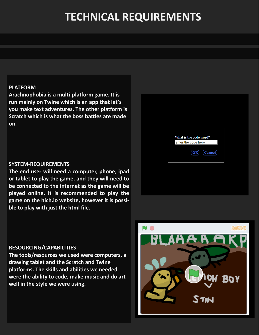# **TECHNICAL REQUIREMENTS**

### **PLATFORM**

**Arachnophobia is a multi-platform game. It is run mainly on Twine which is an app that let's you make text adventures. The other platform is Scratch which is what the boss battles are made on.**

#### **SYSTEM-REQUIREMENTS**

**The end user will need a computer, phone, ipad or tablet to play the game, and they will need to be connected to the internet as the game will be played online. It is recommended to play the game on the hich.io website, however it is possible to play with just the html file.** 

# What is the code word? enter the code here  $(OK)$  (Cancel)

### **RESOURCING/CAPABILITIES**

**The tools/resources we used were computers, a drawing tablet and the Scratch and Twine platforms. The skills and abilities we needed were the ability to code, make music and do art well in the style we were using.** 

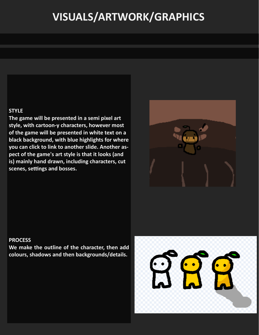# **VISUALS/ARTWORK/GRAPHICS**

### **STYLE**

**The game will be presented in a semi pixel art style, with cartoon-y characters, however most of the game will be presented in white text on a black background, with blue highlights for where you can click to link to another slide. Another aspect of the game's art style is that it looks (and is) mainly hand drawn, including characters, cut scenes, settings and bosses.** 



### **PROCESS**

**We make the outline of the character, then add colours, shadows and then backgrounds/details.**